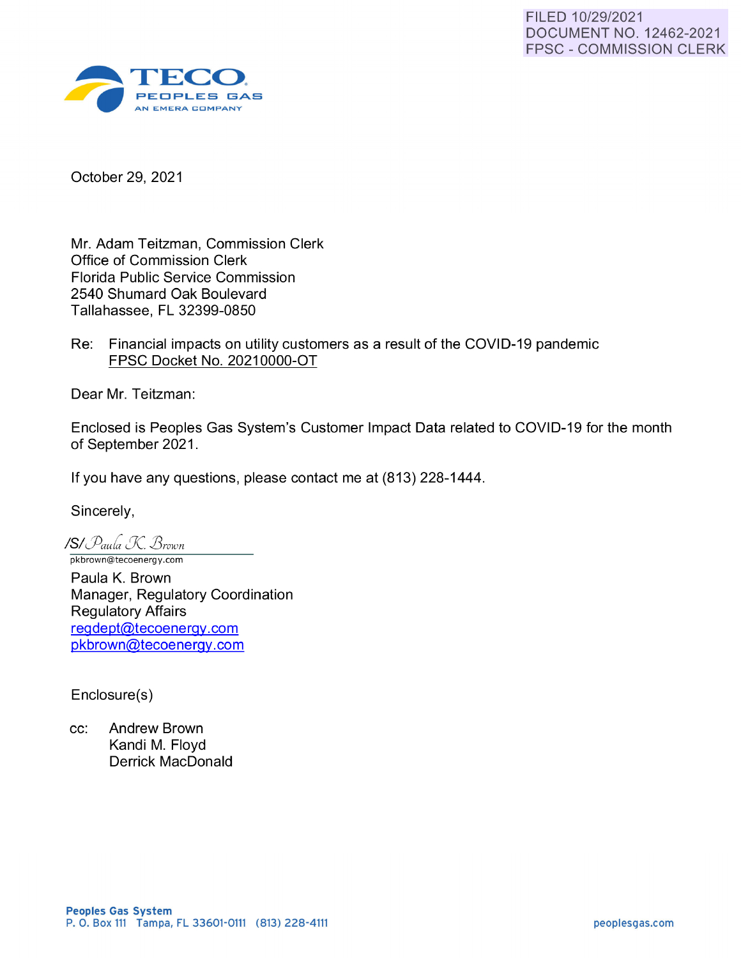

October 29, 2021

Mr. Adam Teitzman, Commission Clerk Office of Commission Clerk Florida Public Service Commission 2540 Shumard Oak Boulevard Tallahassee, FL 32399-0850

Re: Financial impacts on utility customers as a result of the COVID-19 pandemic FPSC Docket No. 20210000-0T

Dear Mr. Teitzman:

Enclosed is Peoples Gas System's Customer Impact Data related to COVID-19 for the month of September 2021.

If you have any questions, please contact me at (813) 228-1444.

Sincerely,

**ISi** *ifauh !J( J3roion*  pkbrown@tecoenergy.com

Paula K. Brown Manager, Regulatory Coordination Regulatory Affairs reqdept@tecoenerqy.com pkbrown@tecoenergy.com

Enclosure(s)

cc: Andrew Brown Kandi M. Floyd Derrick MacDonald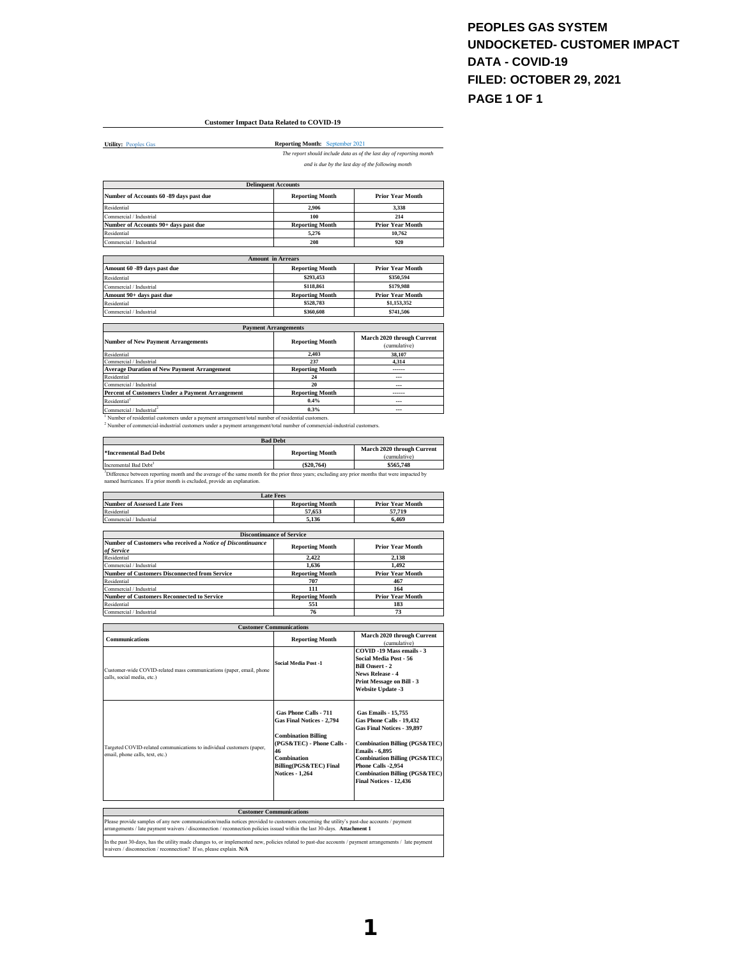## **PEOPLES GAS SYSTEM UNDOCKETED- CUSTOMER IMPACT DATA - COVID-19 FILED: OCTOBER 29, 2021 PAGE 1 OF 1**

## **Customer Impact Data Related to COVID-19**

**Utility: Peoples Gas** 

**Reporting Month:** September 2021 *The report should include data as of the last day of reporting month* 

*and is due by the last day of the following month*

|                                                                                                    | <b>Delinquent Accounts</b>  |                                            |
|----------------------------------------------------------------------------------------------------|-----------------------------|--------------------------------------------|
| Number of Accounts 60 -89 days past due                                                            | <b>Reporting Month</b>      | <b>Prior Year Month</b>                    |
| Residential                                                                                        | 2.906                       | 3.338                                      |
| Commercial / Industrial                                                                            | 100                         | 214                                        |
| Number of Accounts 90+ days past due                                                               | <b>Reporting Month</b>      | <b>Prior Year Month</b>                    |
| Residential                                                                                        | 5.276                       | 10.762                                     |
| Commercial / Industrial                                                                            | 208                         | 920                                        |
|                                                                                                    | <b>Amount in Arrears</b>    |                                            |
| Amount 60 -89 days past due                                                                        | <b>Reporting Month</b>      | <b>Prior Year Month</b>                    |
| Residential                                                                                        | \$293,453                   | \$350,594                                  |
| Commercial / Industrial                                                                            | \$118,861                   | \$179,988                                  |
| Amount 90+ days past due                                                                           | <b>Reporting Month</b>      | <b>Prior Year Month</b>                    |
| Residential                                                                                        | \$528,783                   | \$1,153,352                                |
| Commercial / Industrial                                                                            | \$360,608                   | \$741,506                                  |
|                                                                                                    | <b>Payment Arrangements</b> |                                            |
| <b>Number of New Payment Arrangements</b>                                                          | <b>Reporting Month</b>      | March 2020 through Current<br>(cumulative) |
| Residential                                                                                        | 2.403                       | 38.107                                     |
| Commercial / Industrial                                                                            | 237                         | 4.314                                      |
| <b>Average Duration of New Payment Arrangement</b>                                                 | <b>Reporting Month</b>      | ------                                     |
| Residential                                                                                        | 24                          | ---                                        |
| Commercial / Industrial                                                                            | 20                          |                                            |
| Percent of Customers Under a Payment Arrangement                                                   | <b>Reporting Month</b>      | -----                                      |
| Residential <sup>1</sup>                                                                           | 0.4%                        | ---                                        |
| Commercial / Industrial <sup>2</sup>                                                               | 0.3%                        | ---                                        |
| Number of residential customers under a payment arrangement/total number of residential customers. |                             |                                            |

' Number of residential customers under a payment arrangement/total number of residential customers.<br><sup>2</sup> Number of commercial-industrial customers under a payment arrangement/total number of commercial-industrial customers

| <b>Bad Debt</b>                                                                                                                                               |                        |                                            |  |  |
|---------------------------------------------------------------------------------------------------------------------------------------------------------------|------------------------|--------------------------------------------|--|--|
| *Incremental Bad Debt                                                                                                                                         | <b>Reporting Month</b> | March 2020 through Current<br>(cumulative) |  |  |
| Incremental Bad Debt <sup>3</sup>                                                                                                                             | (S20.764)              | \$565,748                                  |  |  |
| <sup>3</sup> Difference between reporting month and the average of the same month for the prior three years; excluding any prior months that were impacted by |                        |                                            |  |  |
| named hurricanes. If a prior month is excluded, provide an explanation.                                                                                       |                        |                                            |  |  |

|                                                                           | <b>Late Fees</b>                 |                                                     |
|---------------------------------------------------------------------------|----------------------------------|-----------------------------------------------------|
| <b>Number of Assessed Late Fees</b>                                       | <b>Reporting Month</b>           | <b>Prior Year Month</b>                             |
| Residential                                                               | 57.653                           | 57,719                                              |
| Commercial / Industrial                                                   | 5.136                            | 6.469                                               |
|                                                                           | <b>Discontinuance of Service</b> |                                                     |
| Number of Customers who received a Notice of Discontinuance<br>of Service | <b>Reporting Month</b>           | <b>Prior Year Month</b>                             |
| Residential                                                               | 2.422                            | 2.138                                               |
| Commercial / Industrial                                                   | 1.636                            | 1.492                                               |
| <b>Number of Customers Disconnected from Service</b>                      | <b>Reporting Month</b>           | <b>Prior Year Month</b>                             |
| Residential                                                               | 707                              | 467                                                 |
| Commercial / Industrial                                                   | 111                              | 164                                                 |
| <b>Number of Customers Reconnected to Service</b>                         | <b>Reporting Month</b>           | <b>Prior Year Month</b>                             |
| Residential                                                               | 551                              | 183                                                 |
| Commercial / Industrial                                                   | 76                               | 73                                                  |
|                                                                           | <b>Customer Communications</b>   |                                                     |
| <b>Communications</b>                                                     | <b>Reporting Month</b>           | March 2020 through Current<br>(cumulative)          |
|                                                                           | Coolel Modio Doot 1              | COVID -19 Mass emails - 3<br>Social Media Post - 56 |

| Customer-wide COVID-related mass communications (paper, email, phone<br>calls, social media, etc.)       | Social Media Post -1                                                                                                                                                                   | гээстаг глесна г ом - эо<br><b>Bill Onsert - 2</b><br>News Release - 4<br>Print Message on Bill - 3<br><b>Website Update -3</b>                                                                                                                                                                   |
|----------------------------------------------------------------------------------------------------------|----------------------------------------------------------------------------------------------------------------------------------------------------------------------------------------|---------------------------------------------------------------------------------------------------------------------------------------------------------------------------------------------------------------------------------------------------------------------------------------------------|
| Targeted COVID-related communications to individual customers (paper,<br>email, phone calls, text, etc.) | Gas Phone Calls - 711<br>Gas Final Notices - 2,794<br><b>Combination Billing</b><br>(PGS&TEC) - Phone Calls -<br>46<br>Combination<br>Billing(PGS&TEC) Final<br><b>Notices - 1.264</b> | <b>Gas Emails - 15.755</b><br>Gas Phone Calls - 19,432<br>Gas Final Notices - 39.897<br><b>Combination Billing (PGS&amp;TEC)</b><br><b>Emails - 6.895</b><br><b>Combination Billing (PGS&amp;TEC)</b><br>Phone Calls -2.954<br><b>Combination Billing (PGS&amp;TEC)</b><br>Final Notices - 12.436 |

| <b>Customer Communications</b>                                                                                                                                                                                                                                       |
|----------------------------------------------------------------------------------------------------------------------------------------------------------------------------------------------------------------------------------------------------------------------|
| Please provide samples of any new communication/media notices provided to customers concerning the utility's past-due accounts / payment<br>arrangements / late payment waivers / disconnection / reconnection policies issued within the last 30-days. Attachment 1 |
| In the past 30-days, has the utility made changes to, or implemented new, policies related to past-due accounts / payment arrangements / late payment<br>waivers / disconnection / reconnection? If so, please explain. N/A                                          |